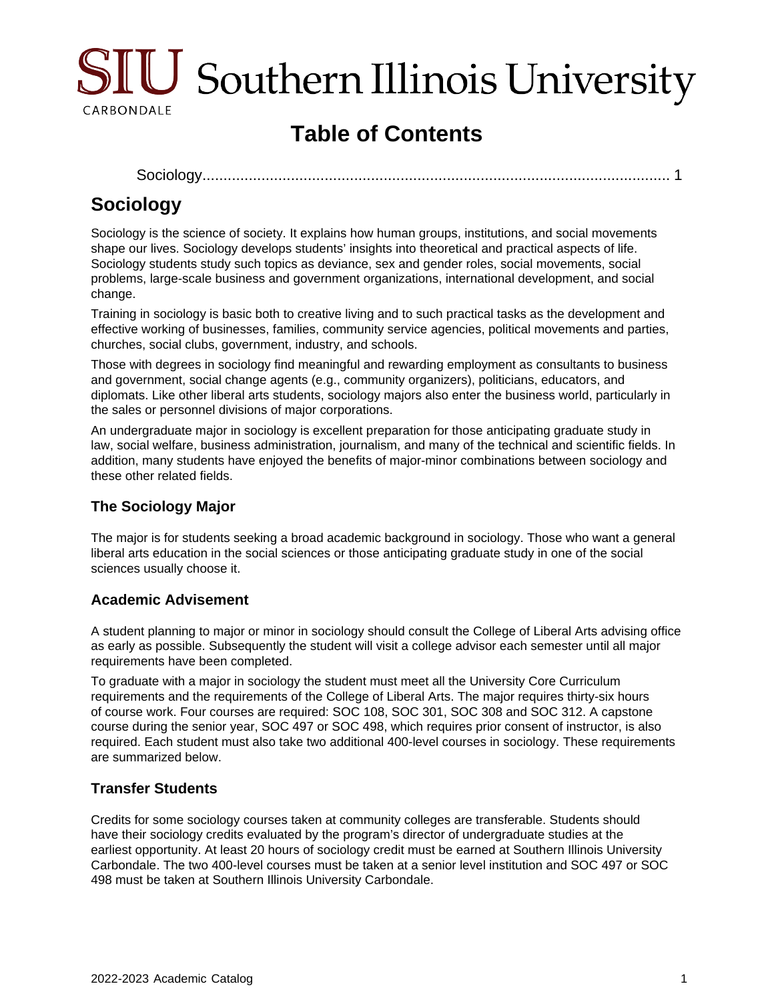

# **Table of Contents**

[Sociology............................................................................................................](#page-0-0)... 1

## <span id="page-0-0"></span>**Sociology**

Sociology is the science of society. It explains how human groups, institutions, and social movements shape our lives. Sociology develops students' insights into theoretical and practical aspects of life. Sociology students study such topics as deviance, sex and gender roles, social movements, social problems, large-scale business and government organizations, international development, and social change.

Training in sociology is basic both to creative living and to such practical tasks as the development and effective working of businesses, families, community service agencies, political movements and parties, churches, social clubs, government, industry, and schools.

Those with degrees in sociology find meaningful and rewarding employment as consultants to business and government, social change agents (e.g., community organizers), politicians, educators, and diplomats. Like other liberal arts students, sociology majors also enter the business world, particularly in the sales or personnel divisions of major corporations.

An undergraduate major in sociology is excellent preparation for those anticipating graduate study in law, social welfare, business administration, journalism, and many of the technical and scientific fields. In addition, many students have enjoyed the benefits of major-minor combinations between sociology and these other related fields.

### **The Sociology Major**

The major is for students seeking a broad academic background in sociology. Those who want a general liberal arts education in the social sciences or those anticipating graduate study in one of the social sciences usually choose it.

### **Academic Advisement**

A student planning to major or minor in sociology should consult the College of Liberal Arts advising office as early as possible. Subsequently the student will visit a college advisor each semester until all major requirements have been completed.

To graduate with a major in sociology the student must meet all the University Core Curriculum requirements and the requirements of the College of Liberal Arts. The major requires thirty-six hours of course work. Four courses are required: SOC 108, SOC 301, SOC 308 and SOC 312. A capstone course during the senior year, SOC 497 or SOC 498, which requires prior consent of instructor, is also required. Each student must also take two additional 400-level courses in sociology. These requirements are summarized below.

### **Transfer Students**

Credits for some sociology courses taken at community colleges are transferable. Students should have their sociology credits evaluated by the program's director of undergraduate studies at the earliest opportunity. At least 20 hours of sociology credit must be earned at Southern Illinois University Carbondale. The two 400-level courses must be taken at a senior level institution and SOC 497 or SOC 498 must be taken at Southern Illinois University Carbondale.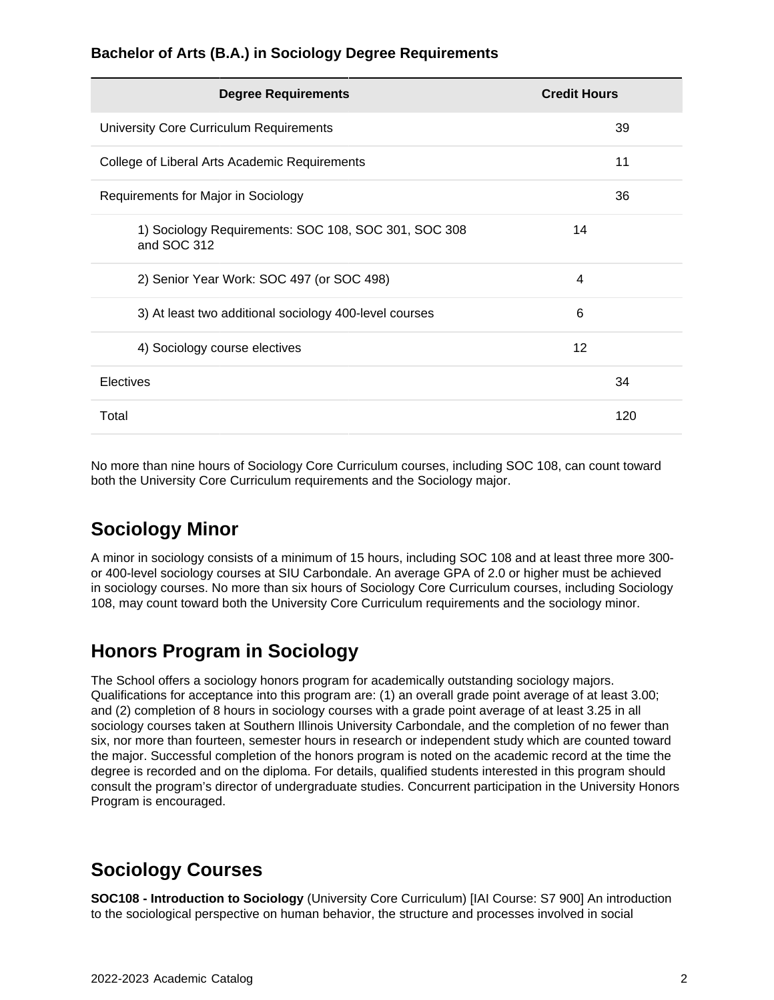#### **Bachelor of Arts (B.A.) in Sociology Degree Requirements**

| <b>Degree Requirements</b>                                          | <b>Credit Hours</b> |
|---------------------------------------------------------------------|---------------------|
| University Core Curriculum Requirements                             | 39                  |
| College of Liberal Arts Academic Requirements                       | 11                  |
| Requirements for Major in Sociology                                 | 36                  |
| 1) Sociology Requirements: SOC 108, SOC 301, SOC 308<br>and SOC 312 | 14                  |
| 2) Senior Year Work: SOC 497 (or SOC 498)                           | 4                   |
| 3) At least two additional sociology 400-level courses              | 6                   |
| 4) Sociology course electives                                       | 12                  |
| Electives                                                           | 34                  |
| Total                                                               | 120                 |

No more than nine hours of Sociology Core Curriculum courses, including SOC 108, can count toward both the University Core Curriculum requirements and the Sociology major.

## **Sociology Minor**

A minor in sociology consists of a minimum of 15 hours, including SOC 108 and at least three more 300 or 400-level sociology courses at SIU Carbondale. An average GPA of 2.0 or higher must be achieved in sociology courses. No more than six hours of Sociology Core Curriculum courses, including Sociology 108, may count toward both the University Core Curriculum requirements and the sociology minor.

## **Honors Program in Sociology**

The School offers a sociology honors program for academically outstanding sociology majors. Qualifications for acceptance into this program are: (1) an overall grade point average of at least 3.00; and (2) completion of 8 hours in sociology courses with a grade point average of at least 3.25 in all sociology courses taken at Southern Illinois University Carbondale, and the completion of no fewer than six, nor more than fourteen, semester hours in research or independent study which are counted toward the major. Successful completion of the honors program is noted on the academic record at the time the degree is recorded and on the diploma. For details, qualified students interested in this program should consult the program's director of undergraduate studies. Concurrent participation in the University Honors Program is encouraged.

## **Sociology Courses**

**SOC108 - Introduction to Sociology** (University Core Curriculum) [IAI Course: S7 900] An introduction to the sociological perspective on human behavior, the structure and processes involved in social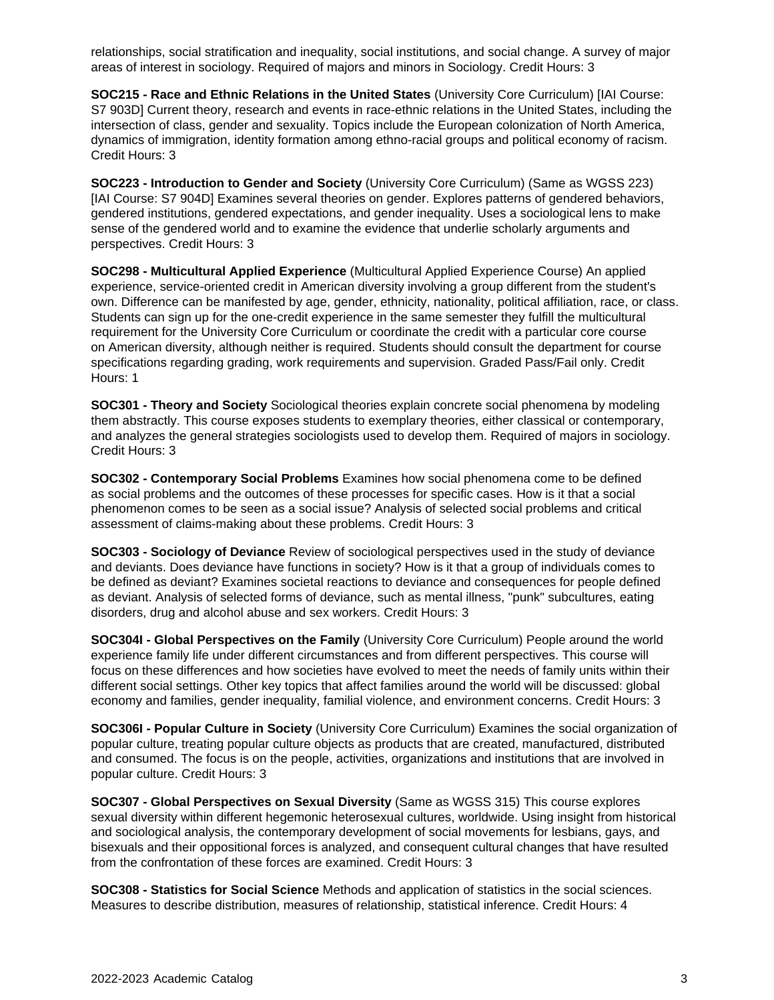relationships, social stratification and inequality, social institutions, and social change. A survey of major areas of interest in sociology. Required of majors and minors in Sociology. Credit Hours: 3

**SOC215 - Race and Ethnic Relations in the United States** (University Core Curriculum) [IAI Course: S7 903D] Current theory, research and events in race-ethnic relations in the United States, including the intersection of class, gender and sexuality. Topics include the European colonization of North America, dynamics of immigration, identity formation among ethno-racial groups and political economy of racism. Credit Hours: 3

**SOC223 - Introduction to Gender and Society** (University Core Curriculum) (Same as WGSS 223) [IAI Course: S7 904D] Examines several theories on gender. Explores patterns of gendered behaviors, gendered institutions, gendered expectations, and gender inequality. Uses a sociological lens to make sense of the gendered world and to examine the evidence that underlie scholarly arguments and perspectives. Credit Hours: 3

**SOC298 - Multicultural Applied Experience** (Multicultural Applied Experience Course) An applied experience, service-oriented credit in American diversity involving a group different from the student's own. Difference can be manifested by age, gender, ethnicity, nationality, political affiliation, race, or class. Students can sign up for the one-credit experience in the same semester they fulfill the multicultural requirement for the University Core Curriculum or coordinate the credit with a particular core course on American diversity, although neither is required. Students should consult the department for course specifications regarding grading, work requirements and supervision. Graded Pass/Fail only. Credit Hours: 1

**SOC301 - Theory and Society** Sociological theories explain concrete social phenomena by modeling them abstractly. This course exposes students to exemplary theories, either classical or contemporary, and analyzes the general strategies sociologists used to develop them. Required of majors in sociology. Credit Hours: 3

**SOC302 - Contemporary Social Problems** Examines how social phenomena come to be defined as social problems and the outcomes of these processes for specific cases. How is it that a social phenomenon comes to be seen as a social issue? Analysis of selected social problems and critical assessment of claims-making about these problems. Credit Hours: 3

**SOC303 - Sociology of Deviance** Review of sociological perspectives used in the study of deviance and deviants. Does deviance have functions in society? How is it that a group of individuals comes to be defined as deviant? Examines societal reactions to deviance and consequences for people defined as deviant. Analysis of selected forms of deviance, such as mental illness, "punk" subcultures, eating disorders, drug and alcohol abuse and sex workers. Credit Hours: 3

**SOC304I - Global Perspectives on the Family** (University Core Curriculum) People around the world experience family life under different circumstances and from different perspectives. This course will focus on these differences and how societies have evolved to meet the needs of family units within their different social settings. Other key topics that affect families around the world will be discussed: global economy and families, gender inequality, familial violence, and environment concerns. Credit Hours: 3

**SOC306I - Popular Culture in Society** (University Core Curriculum) Examines the social organization of popular culture, treating popular culture objects as products that are created, manufactured, distributed and consumed. The focus is on the people, activities, organizations and institutions that are involved in popular culture. Credit Hours: 3

**SOC307 - Global Perspectives on Sexual Diversity** (Same as WGSS 315) This course explores sexual diversity within different hegemonic heterosexual cultures, worldwide. Using insight from historical and sociological analysis, the contemporary development of social movements for lesbians, gays, and bisexuals and their oppositional forces is analyzed, and consequent cultural changes that have resulted from the confrontation of these forces are examined. Credit Hours: 3

**SOC308 - Statistics for Social Science** Methods and application of statistics in the social sciences. Measures to describe distribution, measures of relationship, statistical inference. Credit Hours: 4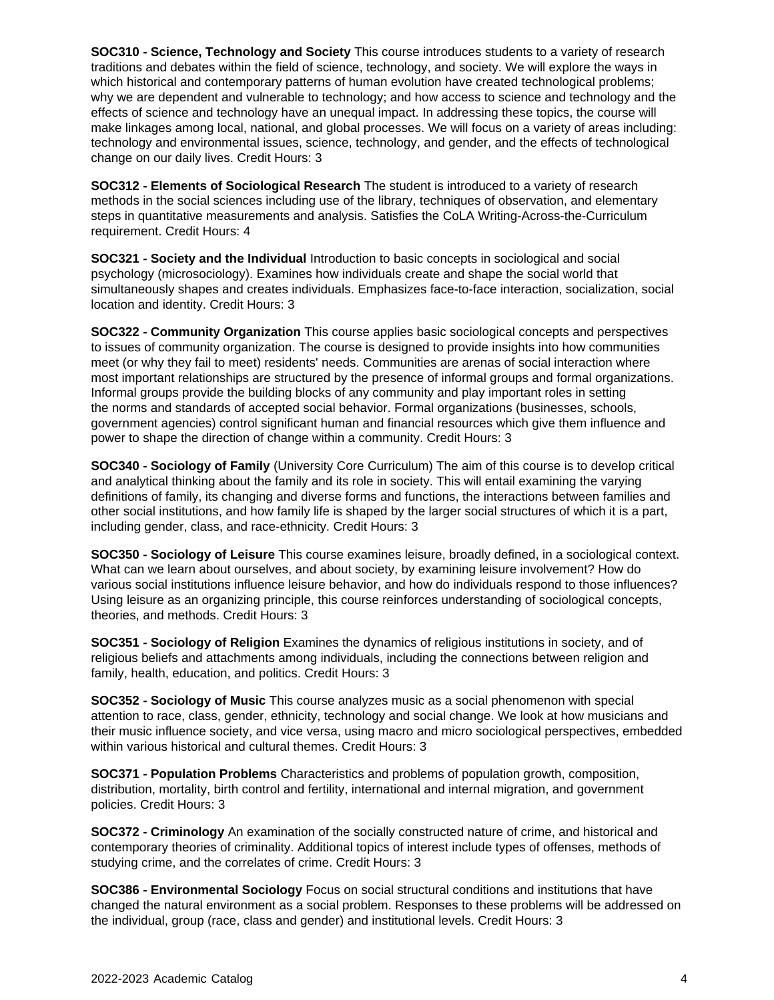**SOC310 - Science, Technology and Society** This course introduces students to a variety of research traditions and debates within the field of science, technology, and society. We will explore the ways in which historical and contemporary patterns of human evolution have created technological problems; why we are dependent and vulnerable to technology; and how access to science and technology and the effects of science and technology have an unequal impact. In addressing these topics, the course will make linkages among local, national, and global processes. We will focus on a variety of areas including: technology and environmental issues, science, technology, and gender, and the effects of technological change on our daily lives. Credit Hours: 3

**SOC312 - Elements of Sociological Research** The student is introduced to a variety of research methods in the social sciences including use of the library, techniques of observation, and elementary steps in quantitative measurements and analysis. Satisfies the CoLA Writing-Across-the-Curriculum requirement. Credit Hours: 4

**SOC321 - Society and the Individual** Introduction to basic concepts in sociological and social psychology (microsociology). Examines how individuals create and shape the social world that simultaneously shapes and creates individuals. Emphasizes face-to-face interaction, socialization, social location and identity. Credit Hours: 3

**SOC322 - Community Organization** This course applies basic sociological concepts and perspectives to issues of community organization. The course is designed to provide insights into how communities meet (or why they fail to meet) residents' needs. Communities are arenas of social interaction where most important relationships are structured by the presence of informal groups and formal organizations. Informal groups provide the building blocks of any community and play important roles in setting the norms and standards of accepted social behavior. Formal organizations (businesses, schools, government agencies) control significant human and financial resources which give them influence and power to shape the direction of change within a community. Credit Hours: 3

**SOC340 - Sociology of Family** (University Core Curriculum) The aim of this course is to develop critical and analytical thinking about the family and its role in society. This will entail examining the varying definitions of family, its changing and diverse forms and functions, the interactions between families and other social institutions, and how family life is shaped by the larger social structures of which it is a part, including gender, class, and race-ethnicity. Credit Hours: 3

**SOC350 - Sociology of Leisure** This course examines leisure, broadly defined, in a sociological context. What can we learn about ourselves, and about society, by examining leisure involvement? How do various social institutions influence leisure behavior, and how do individuals respond to those influences? Using leisure as an organizing principle, this course reinforces understanding of sociological concepts, theories, and methods. Credit Hours: 3

**SOC351 - Sociology of Religion** Examines the dynamics of religious institutions in society, and of religious beliefs and attachments among individuals, including the connections between religion and family, health, education, and politics. Credit Hours: 3

**SOC352 - Sociology of Music** This course analyzes music as a social phenomenon with special attention to race, class, gender, ethnicity, technology and social change. We look at how musicians and their music influence society, and vice versa, using macro and micro sociological perspectives, embedded within various historical and cultural themes. Credit Hours: 3

**SOC371 - Population Problems** Characteristics and problems of population growth, composition, distribution, mortality, birth control and fertility, international and internal migration, and government policies. Credit Hours: 3

**SOC372 - Criminology** An examination of the socially constructed nature of crime, and historical and contemporary theories of criminality. Additional topics of interest include types of offenses, methods of studying crime, and the correlates of crime. Credit Hours: 3

**SOC386 - Environmental Sociology** Focus on social structural conditions and institutions that have changed the natural environment as a social problem. Responses to these problems will be addressed on the individual, group (race, class and gender) and institutional levels. Credit Hours: 3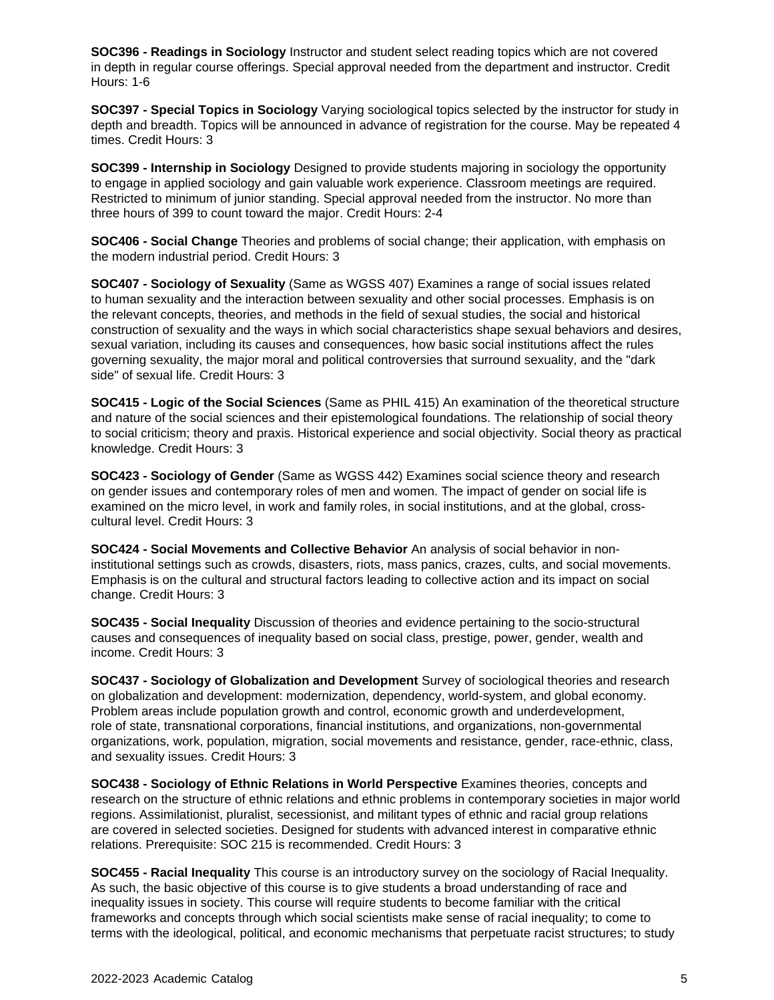**SOC396 - Readings in Sociology** Instructor and student select reading topics which are not covered in depth in regular course offerings. Special approval needed from the department and instructor. Credit Hours: 1-6

**SOC397 - Special Topics in Sociology** Varying sociological topics selected by the instructor for study in depth and breadth. Topics will be announced in advance of registration for the course. May be repeated 4 times. Credit Hours: 3

**SOC399 - Internship in Sociology** Designed to provide students majoring in sociology the opportunity to engage in applied sociology and gain valuable work experience. Classroom meetings are required. Restricted to minimum of junior standing. Special approval needed from the instructor. No more than three hours of 399 to count toward the major. Credit Hours: 2-4

**SOC406 - Social Change** Theories and problems of social change; their application, with emphasis on the modern industrial period. Credit Hours: 3

**SOC407 - Sociology of Sexuality** (Same as WGSS 407) Examines a range of social issues related to human sexuality and the interaction between sexuality and other social processes. Emphasis is on the relevant concepts, theories, and methods in the field of sexual studies, the social and historical construction of sexuality and the ways in which social characteristics shape sexual behaviors and desires, sexual variation, including its causes and consequences, how basic social institutions affect the rules governing sexuality, the major moral and political controversies that surround sexuality, and the "dark side" of sexual life. Credit Hours: 3

**SOC415 - Logic of the Social Sciences** (Same as PHIL 415) An examination of the theoretical structure and nature of the social sciences and their epistemological foundations. The relationship of social theory to social criticism; theory and praxis. Historical experience and social objectivity. Social theory as practical knowledge. Credit Hours: 3

**SOC423 - Sociology of Gender** (Same as WGSS 442) Examines social science theory and research on gender issues and contemporary roles of men and women. The impact of gender on social life is examined on the micro level, in work and family roles, in social institutions, and at the global, crosscultural level. Credit Hours: 3

**SOC424 - Social Movements and Collective Behavior** An analysis of social behavior in noninstitutional settings such as crowds, disasters, riots, mass panics, crazes, cults, and social movements. Emphasis is on the cultural and structural factors leading to collective action and its impact on social change. Credit Hours: 3

**SOC435 - Social Inequality** Discussion of theories and evidence pertaining to the socio-structural causes and consequences of inequality based on social class, prestige, power, gender, wealth and income. Credit Hours: 3

**SOC437 - Sociology of Globalization and Development** Survey of sociological theories and research on globalization and development: modernization, dependency, world-system, and global economy. Problem areas include population growth and control, economic growth and underdevelopment, role of state, transnational corporations, financial institutions, and organizations, non-governmental organizations, work, population, migration, social movements and resistance, gender, race-ethnic, class, and sexuality issues. Credit Hours: 3

**SOC438 - Sociology of Ethnic Relations in World Perspective** Examines theories, concepts and research on the structure of ethnic relations and ethnic problems in contemporary societies in major world regions. Assimilationist, pluralist, secessionist, and militant types of ethnic and racial group relations are covered in selected societies. Designed for students with advanced interest in comparative ethnic relations. Prerequisite: SOC 215 is recommended. Credit Hours: 3

**SOC455 - Racial Inequality** This course is an introductory survey on the sociology of Racial Inequality. As such, the basic objective of this course is to give students a broad understanding of race and inequality issues in society. This course will require students to become familiar with the critical frameworks and concepts through which social scientists make sense of racial inequality; to come to terms with the ideological, political, and economic mechanisms that perpetuate racist structures; to study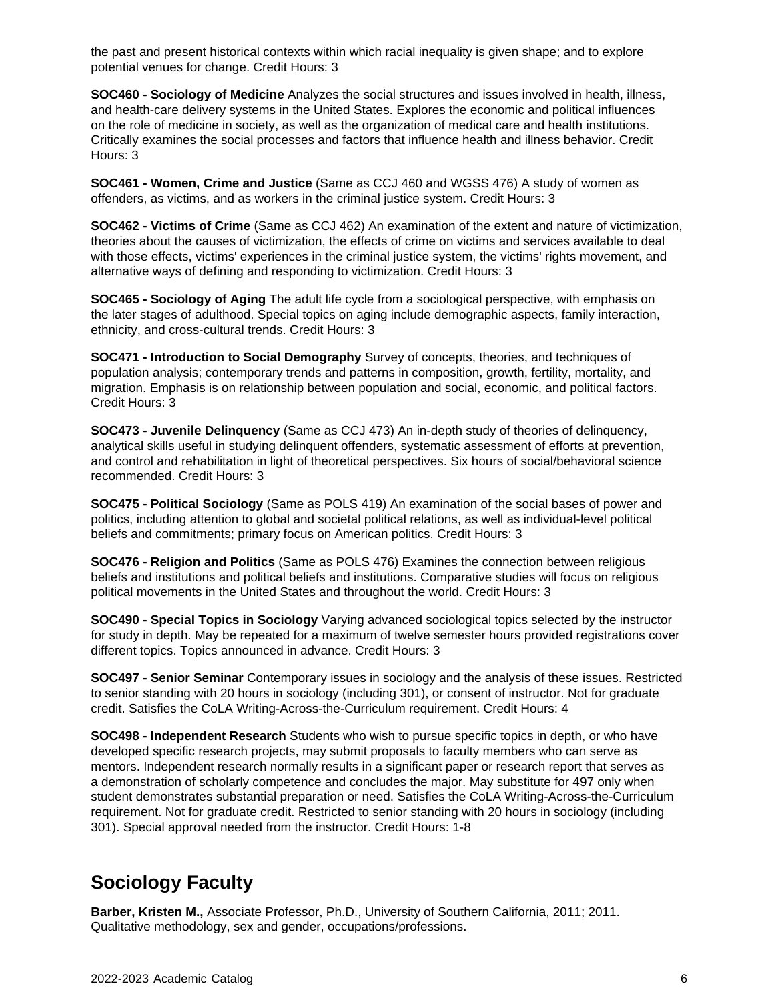the past and present historical contexts within which racial inequality is given shape; and to explore potential venues for change. Credit Hours: 3

**SOC460 - Sociology of Medicine** Analyzes the social structures and issues involved in health, illness, and health-care delivery systems in the United States. Explores the economic and political influences on the role of medicine in society, as well as the organization of medical care and health institutions. Critically examines the social processes and factors that influence health and illness behavior. Credit Hours: 3

**SOC461 - Women, Crime and Justice** (Same as CCJ 460 and WGSS 476) A study of women as offenders, as victims, and as workers in the criminal justice system. Credit Hours: 3

**SOC462 - Victims of Crime** (Same as CCJ 462) An examination of the extent and nature of victimization, theories about the causes of victimization, the effects of crime on victims and services available to deal with those effects, victims' experiences in the criminal justice system, the victims' rights movement, and alternative ways of defining and responding to victimization. Credit Hours: 3

**SOC465 - Sociology of Aging** The adult life cycle from a sociological perspective, with emphasis on the later stages of adulthood. Special topics on aging include demographic aspects, family interaction, ethnicity, and cross-cultural trends. Credit Hours: 3

**SOC471 - Introduction to Social Demography** Survey of concepts, theories, and techniques of population analysis; contemporary trends and patterns in composition, growth, fertility, mortality, and migration. Emphasis is on relationship between population and social, economic, and political factors. Credit Hours: 3

**SOC473 - Juvenile Delinquency** (Same as CCJ 473) An in-depth study of theories of delinquency, analytical skills useful in studying delinquent offenders, systematic assessment of efforts at prevention, and control and rehabilitation in light of theoretical perspectives. Six hours of social/behavioral science recommended. Credit Hours: 3

**SOC475 - Political Sociology** (Same as POLS 419) An examination of the social bases of power and politics, including attention to global and societal political relations, as well as individual-level political beliefs and commitments; primary focus on American politics. Credit Hours: 3

**SOC476 - Religion and Politics** (Same as POLS 476) Examines the connection between religious beliefs and institutions and political beliefs and institutions. Comparative studies will focus on religious political movements in the United States and throughout the world. Credit Hours: 3

**SOC490 - Special Topics in Sociology** Varying advanced sociological topics selected by the instructor for study in depth. May be repeated for a maximum of twelve semester hours provided registrations cover different topics. Topics announced in advance. Credit Hours: 3

**SOC497 - Senior Seminar** Contemporary issues in sociology and the analysis of these issues. Restricted to senior standing with 20 hours in sociology (including 301), or consent of instructor. Not for graduate credit. Satisfies the CoLA Writing-Across-the-Curriculum requirement. Credit Hours: 4

**SOC498 - Independent Research** Students who wish to pursue specific topics in depth, or who have developed specific research projects, may submit proposals to faculty members who can serve as mentors. Independent research normally results in a significant paper or research report that serves as a demonstration of scholarly competence and concludes the major. May substitute for 497 only when student demonstrates substantial preparation or need. Satisfies the CoLA Writing-Across-the-Curriculum requirement. Not for graduate credit. Restricted to senior standing with 20 hours in sociology (including 301). Special approval needed from the instructor. Credit Hours: 1-8

## **Sociology Faculty**

**Barber, Kristen M.,** Associate Professor, Ph.D., University of Southern California, 2011; 2011. Qualitative methodology, sex and gender, occupations/professions.